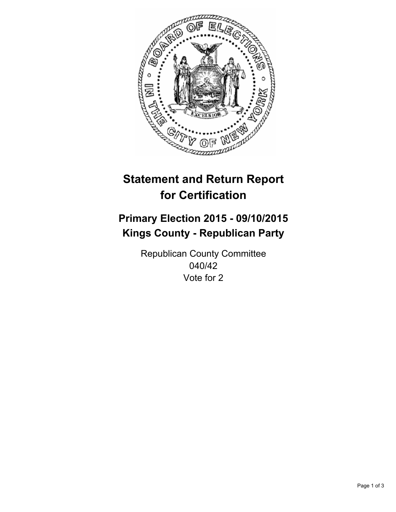

# **Statement and Return Report for Certification**

## **Primary Election 2015 - 09/10/2015 Kings County - Republican Party**

Republican County Committee 040/42 Vote for 2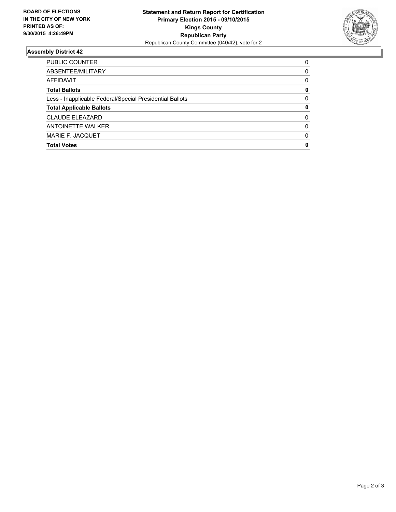

### **Assembly District 42**

| PUBLIC COUNTER                                           | 0        |
|----------------------------------------------------------|----------|
| ABSENTEE/MILITARY                                        | 0        |
| AFFIDAVIT                                                | 0        |
| <b>Total Ballots</b>                                     | 0        |
| Less - Inapplicable Federal/Special Presidential Ballots | 0        |
| <b>Total Applicable Ballots</b>                          | 0        |
| <b>CLAUDE ELEAZARD</b>                                   | 0        |
| <b>ANTOINETTE WALKER</b>                                 | $\Omega$ |
| MARIE F. JACQUET                                         | $\Omega$ |
| <b>Total Votes</b>                                       | 0        |